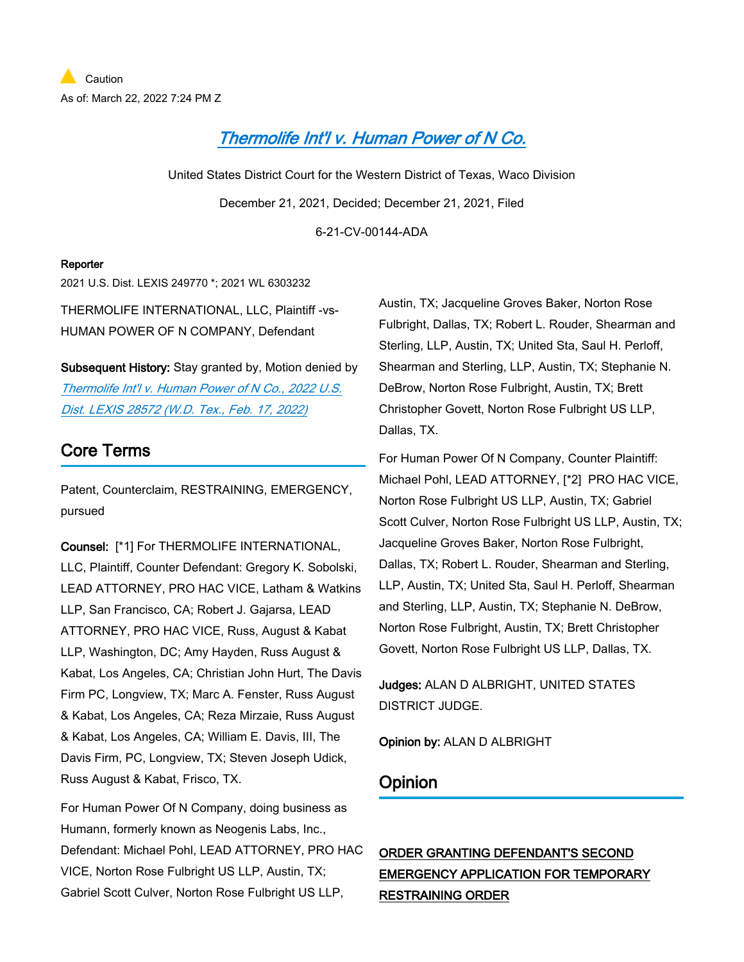# *[Thermolife Int'l v. Human Power of N Co.](https://advance.lexis.com/api/document?collection=cases&id=urn:contentItem:64H9-MJ61-F1WF-M3SF-00000-00&context=1000516)*

United States District Court for the Western District of Texas, Waco Division December 21, 2021, Decided; December 21, 2021, Filed

6-21-CV-00144-ADA

### **Reporter**

2021 U.S. Dist. LEXIS 249770 \*; 2021 WL 6303232

THERMOLIFE INTERNATIONAL, LLC, Plaintiff -vs-HUMAN POWER OF N COMPANY, Defendant

**Subsequent History:** Stay granted by, Motion denied by *[Thermolife Int'l v. Human Power of N Co., 2022 U.S.](https://advance.lexis.com/api/document?collection=cases&id=urn:contentItem:64TB-DST1-JJSF-203N-00000-00&context=1000516)  [Dist. LEXIS 28572 \(W.D. Tex., Feb. 17, 2022\)](https://advance.lexis.com/api/document?collection=cases&id=urn:contentItem:64TB-DST1-JJSF-203N-00000-00&context=1000516)*

## **Core Terms**

Patent, Counterclaim, RESTRAINING, EMERGENCY, pursued

**Counsel:** [\*1] For THERMOLIFE INTERNATIONAL, LLC, Plaintiff, Counter Defendant: Gregory K. Sobolski, LEAD ATTORNEY, PRO HAC VICE, Latham & Watkins LLP, San Francisco, CA; Robert J. Gajarsa, LEAD ATTORNEY, PRO HAC VICE, Russ, August & Kabat LLP, Washington, DC; Amy Hayden, Russ August & Kabat, Los Angeles, CA; Christian John Hurt, The Davis Firm PC, Longview, TX; Marc A. Fenster, Russ August & Kabat, Los Angeles, CA; Reza Mirzaie, Russ August & Kabat, Los Angeles, CA; William E. Davis, III, The Davis Firm, PC, Longview, TX; Steven Joseph Udick, Russ August & Kabat, Frisco, TX.

For Human Power Of N Company, doing business as Humann, formerly known as Neogenis Labs, Inc., Defendant: Michael Pohl, LEAD ATTORNEY, PRO HAC VICE, Norton Rose Fulbright US LLP, Austin, TX; Gabriel Scott Culver, Norton Rose Fulbright US LLP,

Austin, TX; Jacqueline Groves Baker, Norton Rose Fulbright, Dallas, TX; Robert L. Rouder, Shearman and Sterling, LLP, Austin, TX; United Sta, Saul H. Perloff, Shearman and Sterling, LLP, Austin, TX; Stephanie N. DeBrow, Norton Rose Fulbright, Austin, TX; Brett Christopher Govett, Norton Rose Fulbright US LLP, Dallas, TX.

For Human Power Of N Company, Counter Plaintiff: Michael Pohl, LEAD ATTORNEY, [\*2] PRO HAC VICE, Norton Rose Fulbright US LLP, Austin, TX; Gabriel Scott Culver, Norton Rose Fulbright US LLP, Austin, TX; Jacqueline Groves Baker, Norton Rose Fulbright, Dallas, TX; Robert L. Rouder, Shearman and Sterling, LLP, Austin, TX; United Sta, Saul H. Perloff, Shearman and Sterling, LLP, Austin, TX; Stephanie N. DeBrow, Norton Rose Fulbright, Austin, TX; Brett Christopher Govett, Norton Rose Fulbright US LLP, Dallas, TX.

**Judges:** ALAN D ALBRIGHT, UNITED STATES DISTRICT JUDGE.

**Opinion by:** ALAN D ALBRIGHT

### **Opinion**

**ORDER GRANTING DEFENDANT'S SECOND EMERGENCY APPLICATION FOR TEMPORARY RESTRAINING ORDER**